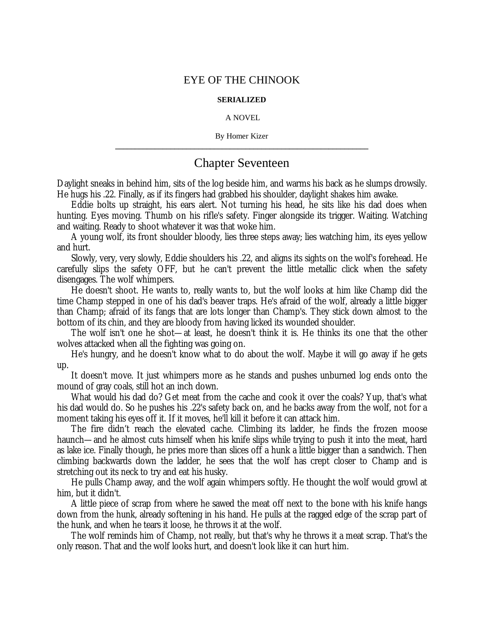## EYE OF THE CHINOOK

## **SERIALIZED**

## A NOVEL

By Homer Kizer **\_\_\_\_\_\_\_\_\_\_\_\_\_\_\_\_\_\_\_\_\_\_\_\_\_\_\_\_\_\_\_\_\_\_\_\_\_\_\_\_\_\_\_\_\_\_\_\_\_\_\_\_\_\_\_\_\_\_\_\_\_\_\_\_**

## Chapter Seventeen

Daylight sneaks in behind him, sits of the log beside him, and warms his back as he slumps drowsily. He hugs his .22. Finally, as if its fingers had grabbed his shoulder, daylight shakes him awake.

Eddie bolts up straight, his ears alert. Not turning his head, he sits like his dad does when hunting. Eyes moving. Thumb on his rifle's safety. Finger alongside its trigger. Waiting. Watching and waiting. Ready to shoot whatever it was that woke him.

A young wolf, its front shoulder bloody, lies three steps away; lies watching him, its eyes yellow and hurt.

Slowly, very, very slowly, Eddie shoulders his .22, and aligns its sights on the wolf's forehead. He carefully slips the safety OFF, but he can't prevent the little metallic click when the safety disengages. The wolf whimpers.

He doesn't shoot. He wants to, really wants to, but the wolf looks at him like Champ did the time Champ stepped in one of his dad's beaver traps. He's afraid of the wolf, already a little bigger than Champ; afraid of its fangs that are lots longer than Champ's. They stick down almost to the bottom of its chin, and they are bloody from having licked its wounded shoulder.

The wolf isn't one he shot— at least, he doesn't think it is. He thinks its one that the other wolves attacked when all the fighting was going on.

He's hungry, and he doesn't know what to do about the wolf. Maybe it will go away if he gets up.

It doesn't move. It just whimpers more as he stands and pushes unburned log ends onto the mound of gray coals, still hot an inch down.

What would his dad do? Get meat from the cache and cook it over the coals? Yup, that's what his dad would do. So he pushes his .22's safety back on, and he backs away from the wolf, not for a moment taking his eyes off it. If it moves, he'll kill it before it can attack him.

The fire didn't reach the elevated cache. Climbing its ladder, he finds the frozen moose haunch— and he almost cuts himself when his knife slips while trying to push it into the meat, hard as lake ice. Finally though, he pries more than slices off a hunk a little bigger than a sandwich. Then climbing backwards down the ladder, he sees that the wolf has crept closer to Champ and is stretching out its neck to try and eat his husky.

He pulls Champ away, and the wolf again whimpers softly. He thought the wolf would growl at him, but it didn't.

A little piece of scrap from where he sawed the meat off next to the bone with his knife hangs down from the hunk, already softening in his hand. He pulls at the ragged edge of the scrap part of the hunk, and when he tears it loose, he throws it at the wolf.

The wolf reminds him of Champ, not really, but that's why he throws it a meat scrap. That's the only reason. That and the wolf looks hurt, and doesn't look like it can hurt him.